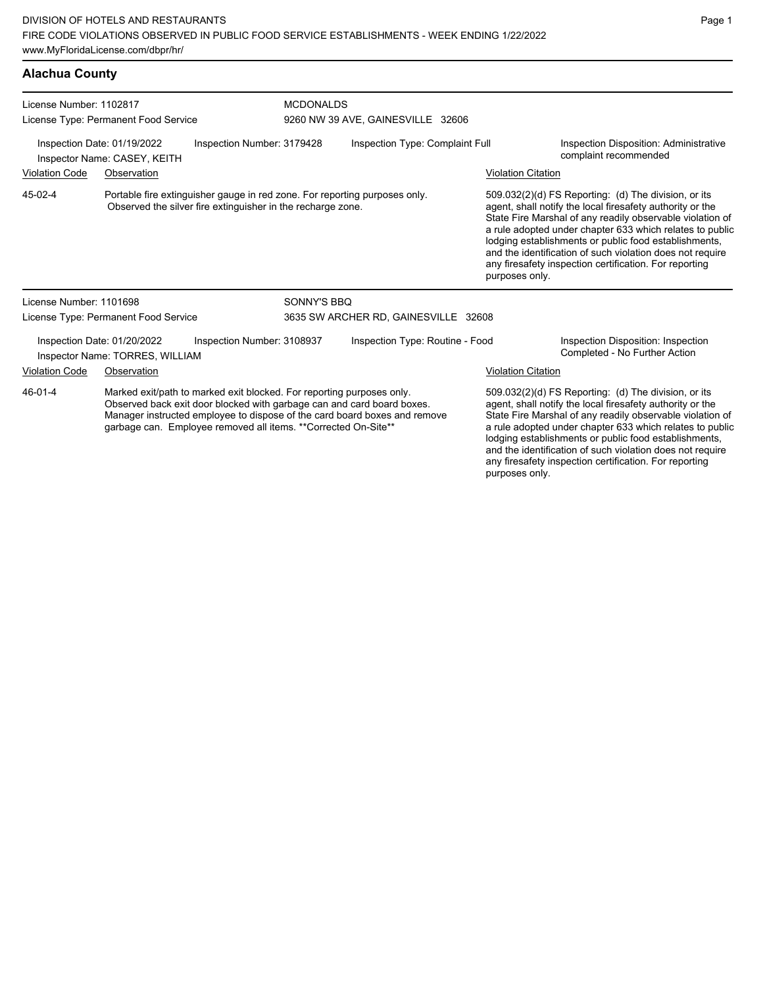## **Alachua County**

| License Number: 1102817                                                                   | License Type: Permanent Food Service                           |                                                                                                                                                                                                                                                                                                | <b>MCDONALDS</b><br>9260 NW 39 AVE, GAINESVILLE 32606 |                           |                                                                                                                                                                                                                                                                                                                                                                                                                            |  |  |
|-------------------------------------------------------------------------------------------|----------------------------------------------------------------|------------------------------------------------------------------------------------------------------------------------------------------------------------------------------------------------------------------------------------------------------------------------------------------------|-------------------------------------------------------|---------------------------|----------------------------------------------------------------------------------------------------------------------------------------------------------------------------------------------------------------------------------------------------------------------------------------------------------------------------------------------------------------------------------------------------------------------------|--|--|
| Inspection Date: 01/19/2022<br>Inspection Number: 3179428<br>Inspector Name: CASEY, KEITH |                                                                |                                                                                                                                                                                                                                                                                                | Inspection Type: Complaint Full                       |                           | Inspection Disposition: Administrative<br>complaint recommended                                                                                                                                                                                                                                                                                                                                                            |  |  |
| <b>Violation Code</b>                                                                     | Observation                                                    |                                                                                                                                                                                                                                                                                                |                                                       | <b>Violation Citation</b> |                                                                                                                                                                                                                                                                                                                                                                                                                            |  |  |
| 45-02-4                                                                                   |                                                                | Portable fire extinguisher gauge in red zone. For reporting purposes only.<br>Observed the silver fire extinguisher in the recharge zone.                                                                                                                                                      |                                                       | purposes only.            | 509.032(2)(d) FS Reporting: (d) The division, or its<br>agent, shall notify the local firesafety authority or the<br>State Fire Marshal of any readily observable violation of<br>a rule adopted under chapter 633 which relates to public<br>lodging establishments or public food establishments,<br>and the identification of such violation does not require<br>any firesafety inspection certification. For reporting |  |  |
| License Number: 1101698                                                                   |                                                                | SONNY'S BBQ                                                                                                                                                                                                                                                                                    |                                                       |                           |                                                                                                                                                                                                                                                                                                                                                                                                                            |  |  |
|                                                                                           | License Type: Permanent Food Service                           |                                                                                                                                                                                                                                                                                                | 3635 SW ARCHER RD, GAINESVILLE 32608                  |                           |                                                                                                                                                                                                                                                                                                                                                                                                                            |  |  |
|                                                                                           | Inspection Date: 01/20/2022<br>Inspector Name: TORRES, WILLIAM | Inspection Number: 3108937                                                                                                                                                                                                                                                                     | Inspection Type: Routine - Food                       |                           | Inspection Disposition: Inspection<br>Completed - No Further Action                                                                                                                                                                                                                                                                                                                                                        |  |  |
| <b>Violation Code</b>                                                                     | Observation                                                    |                                                                                                                                                                                                                                                                                                |                                                       | <b>Violation Citation</b> |                                                                                                                                                                                                                                                                                                                                                                                                                            |  |  |
| 46-01-4                                                                                   |                                                                | Marked exit/path to marked exit blocked. For reporting purposes only.<br>Observed back exit door blocked with garbage can and card board boxes.<br>Manager instructed employee to dispose of the card board boxes and remove<br>garbage can. Employee removed all items. **Corrected On-Site** |                                                       |                           | 509.032(2)(d) FS Reporting: (d) The division, or its<br>agent, shall notify the local firesafety authority or the<br>State Fire Marshal of any readily observable violation of<br>a rule adopted under chapter 633 which relates to public<br>lodging establishments or public food establishments,<br>and the identification of such violation does not require<br>any firesafety inspection certification. For reporting |  |  |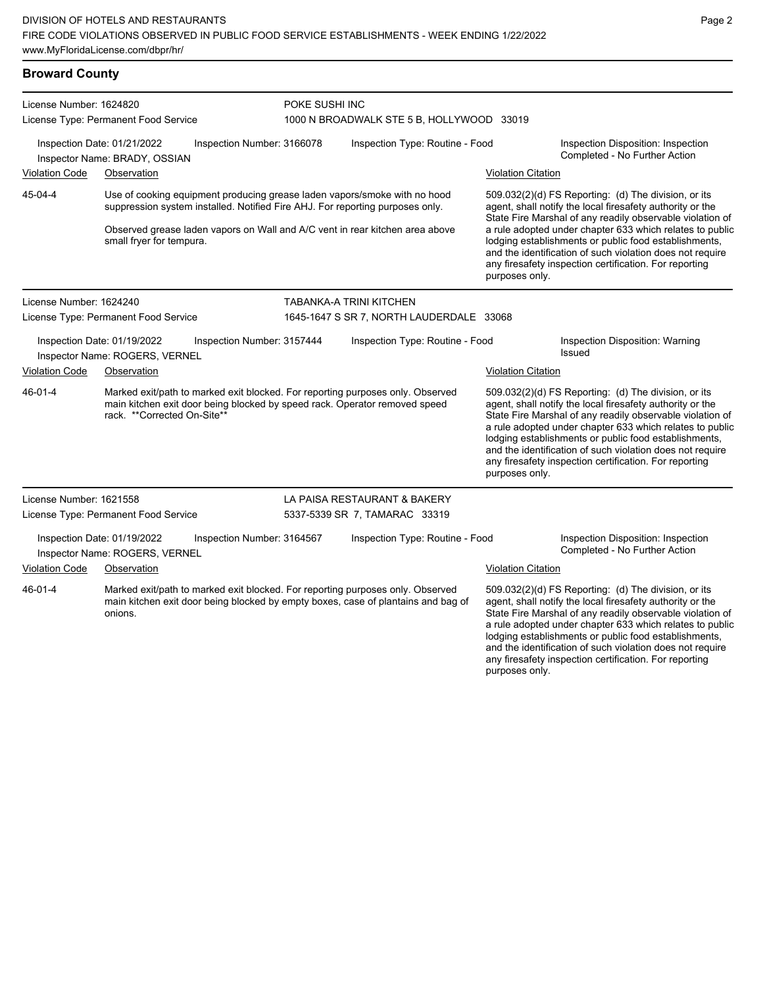### **Broward County**

| License Number: 1624820                                                                     |                                                               | POKE SUSHI INC                  |                                                                                                                                                                                                                                                                                                                                                                                                                                                                                                                                                                                                                                                                                            |                                                  |                                                                                                                                                                                                                                                                                                                                                                                                                            |  |
|---------------------------------------------------------------------------------------------|---------------------------------------------------------------|---------------------------------|--------------------------------------------------------------------------------------------------------------------------------------------------------------------------------------------------------------------------------------------------------------------------------------------------------------------------------------------------------------------------------------------------------------------------------------------------------------------------------------------------------------------------------------------------------------------------------------------------------------------------------------------------------------------------------------------|--------------------------------------------------|----------------------------------------------------------------------------------------------------------------------------------------------------------------------------------------------------------------------------------------------------------------------------------------------------------------------------------------------------------------------------------------------------------------------------|--|
|                                                                                             | License Type: Permanent Food Service                          |                                 | 1000 N BROADWALK STE 5 B, HOLLYWOOD 33019                                                                                                                                                                                                                                                                                                                                                                                                                                                                                                                                                                                                                                                  |                                                  |                                                                                                                                                                                                                                                                                                                                                                                                                            |  |
|                                                                                             | Inspection Date: 01/21/2022<br>Inspector Name: BRADY, OSSIAN  | Inspection Number: 3166078      | Inspection Type: Routine - Food                                                                                                                                                                                                                                                                                                                                                                                                                                                                                                                                                                                                                                                            |                                                  | Inspection Disposition: Inspection<br>Completed - No Further Action                                                                                                                                                                                                                                                                                                                                                        |  |
| <b>Violation Code</b>                                                                       | Observation                                                   |                                 |                                                                                                                                                                                                                                                                                                                                                                                                                                                                                                                                                                                                                                                                                            | Violation Citation                               |                                                                                                                                                                                                                                                                                                                                                                                                                            |  |
| 45-04-4                                                                                     | small fryer for tempura.                                      |                                 | Use of cooking equipment producing grease laden vapors/smoke with no hood<br>509.032(2)(d) FS Reporting: (d) The division, or its<br>suppression system installed. Notified Fire AHJ. For reporting purposes only.<br>agent, shall notify the local firesafety authority or the<br>State Fire Marshal of any readily observable violation of<br>Observed grease laden vapors on Wall and A/C vent in rear kitchen area above<br>a rule adopted under chapter 633 which relates to public<br>lodging establishments or public food establishments,<br>and the identification of such violation does not require<br>any firesafety inspection certification. For reporting<br>purposes only. |                                                  |                                                                                                                                                                                                                                                                                                                                                                                                                            |  |
| License Number: 1624240                                                                     |                                                               |                                 | <b>TABANKA-A TRINI KITCHEN</b>                                                                                                                                                                                                                                                                                                                                                                                                                                                                                                                                                                                                                                                             |                                                  |                                                                                                                                                                                                                                                                                                                                                                                                                            |  |
|                                                                                             | License Type: Permanent Food Service                          |                                 | 1645-1647 S SR 7, NORTH LAUDERDALE 33068                                                                                                                                                                                                                                                                                                                                                                                                                                                                                                                                                                                                                                                   |                                                  |                                                                                                                                                                                                                                                                                                                                                                                                                            |  |
| Inspection Date: 01/19/2022<br>Inspection Number: 3157444<br>Inspector Name: ROGERS, VERNEL |                                                               | Inspection Type: Routine - Food |                                                                                                                                                                                                                                                                                                                                                                                                                                                                                                                                                                                                                                                                                            | Inspection Disposition: Warning<br><b>Issued</b> |                                                                                                                                                                                                                                                                                                                                                                                                                            |  |
| <b>Violation Code</b>                                                                       | Observation                                                   |                                 |                                                                                                                                                                                                                                                                                                                                                                                                                                                                                                                                                                                                                                                                                            | <b>Violation Citation</b>                        |                                                                                                                                                                                                                                                                                                                                                                                                                            |  |
| 46-01-4                                                                                     | rack. **Corrected On-Site**                                   |                                 | Marked exit/path to marked exit blocked. For reporting purposes only. Observed<br>main kitchen exit door being blocked by speed rack. Operator removed speed                                                                                                                                                                                                                                                                                                                                                                                                                                                                                                                               | purposes only.                                   | 509.032(2)(d) FS Reporting: (d) The division, or its<br>agent, shall notify the local firesafety authority or the<br>State Fire Marshal of any readily observable violation of<br>a rule adopted under chapter 633 which relates to public<br>lodging establishments or public food establishments,<br>and the identification of such violation does not require<br>any firesafety inspection certification. For reporting |  |
| License Number: 1621558                                                                     |                                                               |                                 | LA PAISA RESTAURANT & BAKERY                                                                                                                                                                                                                                                                                                                                                                                                                                                                                                                                                                                                                                                               |                                                  |                                                                                                                                                                                                                                                                                                                                                                                                                            |  |
|                                                                                             | License Type: Permanent Food Service                          |                                 | 5337-5339 SR 7, TAMARAC 33319                                                                                                                                                                                                                                                                                                                                                                                                                                                                                                                                                                                                                                                              |                                                  |                                                                                                                                                                                                                                                                                                                                                                                                                            |  |
|                                                                                             | Inspection Date: 01/19/2022<br>Inspector Name: ROGERS, VERNEL | Inspection Number: 3164567      | Inspection Type: Routine - Food                                                                                                                                                                                                                                                                                                                                                                                                                                                                                                                                                                                                                                                            |                                                  | Inspection Disposition: Inspection<br>Completed - No Further Action                                                                                                                                                                                                                                                                                                                                                        |  |
| <b>Violation Code</b>                                                                       | Observation                                                   |                                 |                                                                                                                                                                                                                                                                                                                                                                                                                                                                                                                                                                                                                                                                                            | <b>Violation Citation</b>                        |                                                                                                                                                                                                                                                                                                                                                                                                                            |  |
| 46-01-4                                                                                     | onions.                                                       |                                 | Marked exit/path to marked exit blocked. For reporting purposes only. Observed<br>main kitchen exit door being blocked by empty boxes, case of plantains and bag of                                                                                                                                                                                                                                                                                                                                                                                                                                                                                                                        |                                                  | 509.032(2)(d) FS Reporting: (d) The division, or its<br>agent, shall notify the local firesafety authority or the<br>State Fire Marshal of any readily observable violation of<br>a rule adopted under chapter 633 which relates to public<br>lodging establishments or public food establishments,<br>and the identification of such violation does not require                                                           |  |

Page 2

any firesafety inspection certification. For reporting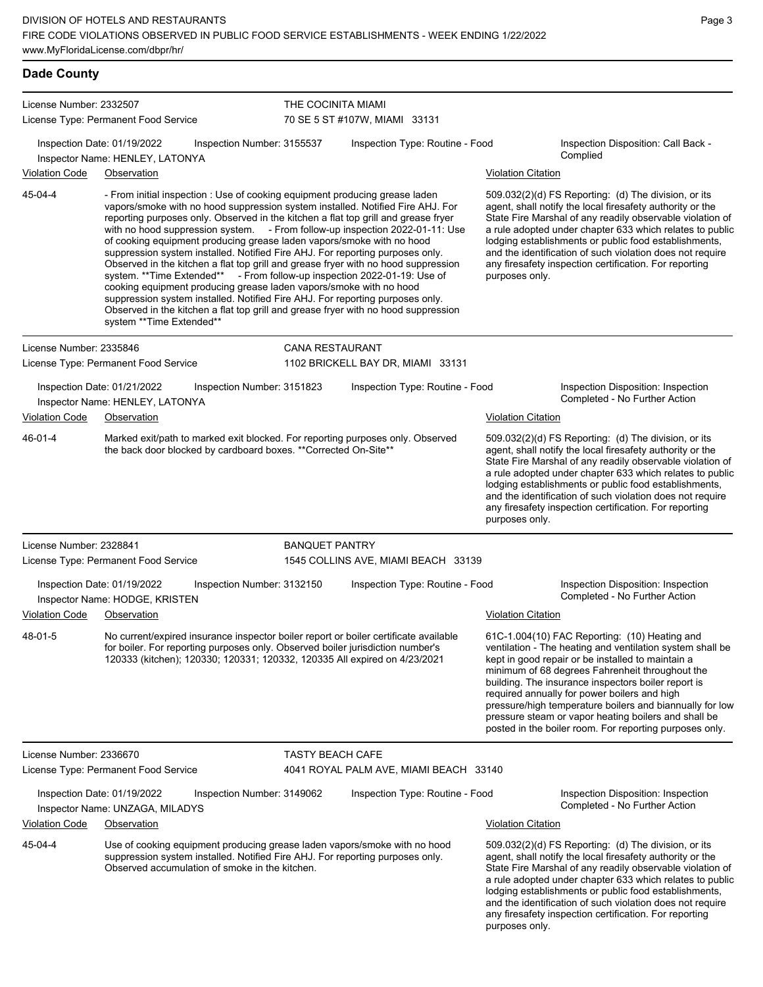#### **Dade County** License Number: 2332507 License Type: Permanent Food Service THE COCINITA MIAMI 70 SE 5 ST #107W, MIAMI 33131 Inspection Date: 01/19/2022 Inspection Number: 3155537 Inspection Type: Routine - Food Inspection Disposition: Call Back - Complied Inspector Name: HENLEY, LATONYA Violation Code Observation Violation Citation - From initial inspection : Use of cooking equipment producing grease laden vapors/smoke with no hood suppression system installed. Notified Fire AHJ. For reporting purposes only. Observed in the kitchen a flat top grill and grease fryer with no hood suppression system. - From follow-up inspection 2022-01-11: Use of cooking equipment producing grease laden vapors/smoke with no hood suppression system installed. Notified Fire AHJ. For reporting purposes only. Observed in the kitchen a flat top grill and grease fryer with no hood suppression system. \*\*Time Extended\*\* - From follow-up inspection 2022-01-19: Use of cooking equipment producing grease laden vapors/smoke with no hood suppression system installed. Notified Fire AHJ. For reporting purposes only. Observed in the kitchen a flat top grill and grease fryer with no hood suppression system \*\*Time Extended\*\* 509.032(2)(d) FS Reporting: (d) The division, or its agent, shall notify the local firesafety authority or the State Fire Marshal of any readily observable violation of a rule adopted under chapter 633 which relates to public lodging establishments or public food establishments, and the identification of such violation does not require any firesafety inspection certification. For reporting purposes only. 45-04-4 License Number: 2335846 License Type: Permanent Food Service CANA RESTAURANT 1102 BRICKELL BAY DR, MIAMI 33131 Inspection Date: 01/21/2022 Inspection Number: 3151823 Inspection Type: Routine - Food Inspection Disposition: Inspection Inspector Name: HENLEY, LATONYA Violation Code Observation Violation Citation Marked exit/path to marked exit blocked. For reporting purposes only. Observed the back door blocked by cardboard boxes. \*\*Corrected On-Site\*\* 509.032(2)(d) FS Reporting: (d) The division, or its agent, shall notify the local firesafety authority or the State Fire Marshal of any readily observable violation of a rule adopted under chapter 633 which relates to public lodging establishments or public food establishments, and the identification of such violation does not require any firesafety inspection certification. For reporting purposes only. 46-01-4 License Number: 2328841 License Type: Permanent Food Service BANQUET PANTRY 1545 COLLINS AVE, MIAMI BEACH 33139 Inspection Date: 01/19/2022 Inspection Number: 3132150 Inspection Type: Routine - Food Inspection Disposition: Inspection<br>Inspector Name: HODGE KRISTEN Inspector Name: HODGE, KRISTEN Violation Code Observation Violation Citation No current/expired insurance inspector boiler report or boiler certificate available for boiler. For reporting purposes only. Observed boiler jurisdiction number's 120333 (kitchen); 120330; 120331; 120332, 120335 All expired on 4/23/2021 61C-1.004(10) FAC Reporting: (10) Heating and ventilation - The heating and ventilation system shall be kept in good repair or be installed to maintain a minimum of 68 degrees Fahrenheit throughout the building. The insurance inspectors boiler report is required annually for power boilers and high pressure/high temperature boilers and biannually for low pressure steam or vapor heating boilers and shall be posted in the boiler room. For reporting purposes only. 48-01-5 License Number: 2336670

License Type: Permanent Food Service

TASTY BEACH CAFE 4041 ROYAL PALM AVE, MIAMI BEACH 33140

Inspection Date: 01/19/2022 Inspection Number: 3149062 Inspection Type: Routine - Food Inspection Disposition: Inspection Completed - No Further Action Inspector Name: UNZAGA, MILADYS Violation Code Observation Violation Citation Use of cooking equipment producing grease laden vapors/smoke with no hood suppression system installed. Notified Fire AHJ. For reporting purposes only. Observed accumulation of smoke in the kitchen. 509.032(2)(d) FS Reporting: (d) The division, or its agent, shall notify the local firesafety authority or the State Fire Marshal of any readily observable violation of a rule adopted under chapter 633 which relates to public lodging establishments or public food establishments, and the identification of such violation does not require 45-04-4

any firesafety inspection certification. For reporting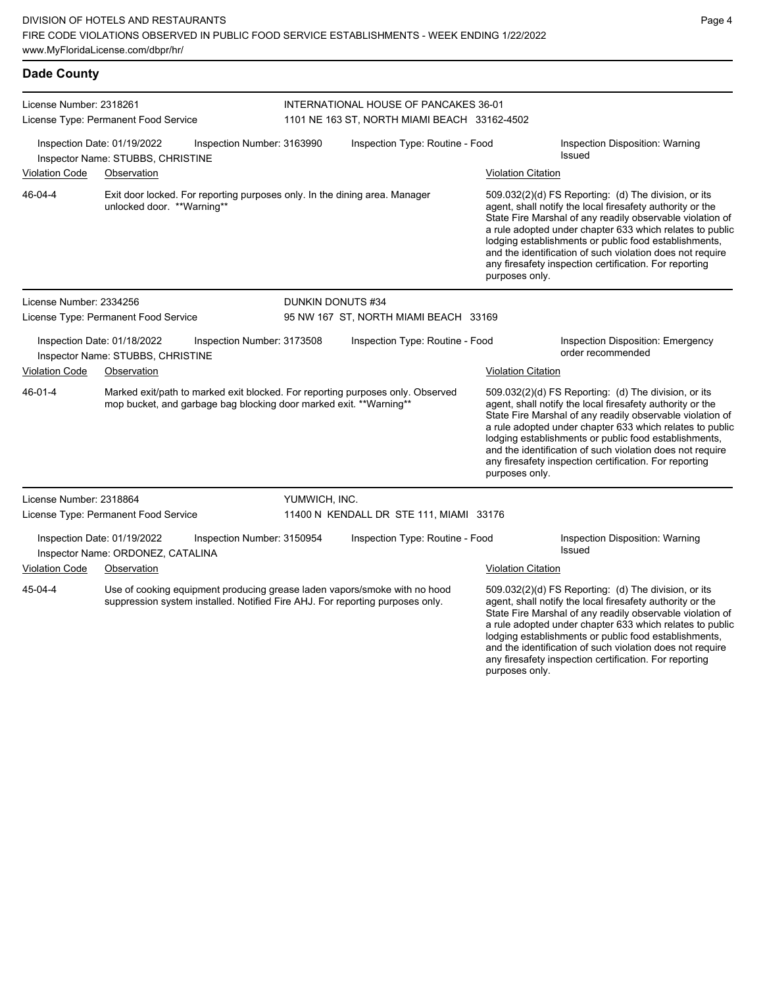## **Dade County**

| License Number: 2318261 |                                                                  |                                                                            |                                              | INTERNATIONAL HOUSE OF PANCAKES 36-01                                                                                                                      |                                                                                                                                                                                                                                                                                                                                                                                                                                              |                                                                                                                                                                                                                                                                                                                                                                                                                            |  |  |
|-------------------------|------------------------------------------------------------------|----------------------------------------------------------------------------|----------------------------------------------|------------------------------------------------------------------------------------------------------------------------------------------------------------|----------------------------------------------------------------------------------------------------------------------------------------------------------------------------------------------------------------------------------------------------------------------------------------------------------------------------------------------------------------------------------------------------------------------------------------------|----------------------------------------------------------------------------------------------------------------------------------------------------------------------------------------------------------------------------------------------------------------------------------------------------------------------------------------------------------------------------------------------------------------------------|--|--|
|                         | License Type: Permanent Food Service                             |                                                                            | 1101 NE 163 ST, NORTH MIAMI BEACH 33162-4502 |                                                                                                                                                            |                                                                                                                                                                                                                                                                                                                                                                                                                                              |                                                                                                                                                                                                                                                                                                                                                                                                                            |  |  |
|                         | Inspection Date: 01/19/2022<br>Inspector Name: STUBBS, CHRISTINE | Inspection Number: 3163990                                                 | Inspection Type: Routine - Food              |                                                                                                                                                            |                                                                                                                                                                                                                                                                                                                                                                                                                                              | Inspection Disposition: Warning<br><b>Issued</b>                                                                                                                                                                                                                                                                                                                                                                           |  |  |
| <b>Violation Code</b>   | Observation                                                      |                                                                            |                                              |                                                                                                                                                            | <b>Violation Citation</b>                                                                                                                                                                                                                                                                                                                                                                                                                    |                                                                                                                                                                                                                                                                                                                                                                                                                            |  |  |
| 46-04-4                 | unlocked door. **Warning**                                       | Exit door locked. For reporting purposes only. In the dining area. Manager |                                              |                                                                                                                                                            | 509.032(2)(d) FS Reporting: (d) The division, or its<br>agent, shall notify the local firesafety authority or the<br>State Fire Marshal of any readily observable violation of<br>a rule adopted under chapter 633 which relates to public<br>lodging establishments or public food establishments,<br>and the identification of such violation does not require<br>any firesafety inspection certification. For reporting<br>purposes only. |                                                                                                                                                                                                                                                                                                                                                                                                                            |  |  |
| License Number: 2334256 |                                                                  |                                                                            |                                              | DUNKIN DONUTS #34                                                                                                                                          |                                                                                                                                                                                                                                                                                                                                                                                                                                              |                                                                                                                                                                                                                                                                                                                                                                                                                            |  |  |
|                         | License Type: Permanent Food Service                             |                                                                            |                                              | 95 NW 167 ST, NORTH MIAMI BEACH 33169                                                                                                                      |                                                                                                                                                                                                                                                                                                                                                                                                                                              |                                                                                                                                                                                                                                                                                                                                                                                                                            |  |  |
|                         | Inspection Date: 01/18/2022<br>Inspector Name: STUBBS, CHRISTINE | Inspection Number: 3173508                                                 |                                              | Inspection Type: Routine - Food                                                                                                                            |                                                                                                                                                                                                                                                                                                                                                                                                                                              | Inspection Disposition: Emergency<br>order recommended                                                                                                                                                                                                                                                                                                                                                                     |  |  |
| <b>Violation Code</b>   | Observation                                                      |                                                                            |                                              |                                                                                                                                                            | <b>Violation Citation</b>                                                                                                                                                                                                                                                                                                                                                                                                                    |                                                                                                                                                                                                                                                                                                                                                                                                                            |  |  |
| 46-01-4                 |                                                                  | mop bucket, and garbage bag blocking door marked exit. **Warning**         |                                              | Marked exit/path to marked exit blocked. For reporting purposes only. Observed                                                                             | purposes only.                                                                                                                                                                                                                                                                                                                                                                                                                               | 509.032(2)(d) FS Reporting: (d) The division, or its<br>agent, shall notify the local firesafety authority or the<br>State Fire Marshal of any readily observable violation of<br>a rule adopted under chapter 633 which relates to public<br>lodging establishments or public food establishments,<br>and the identification of such violation does not require<br>any firesafety inspection certification. For reporting |  |  |
| License Number: 2318864 |                                                                  |                                                                            | YUMWICH, INC.                                |                                                                                                                                                            |                                                                                                                                                                                                                                                                                                                                                                                                                                              |                                                                                                                                                                                                                                                                                                                                                                                                                            |  |  |
|                         | License Type: Permanent Food Service                             |                                                                            |                                              | 11400 N KENDALL DR STE 111, MIAMI 33176                                                                                                                    |                                                                                                                                                                                                                                                                                                                                                                                                                                              |                                                                                                                                                                                                                                                                                                                                                                                                                            |  |  |
|                         | Inspection Date: 01/19/2022<br>Inspector Name: ORDONEZ, CATALINA | Inspection Number: 3150954                                                 |                                              | Inspection Type: Routine - Food                                                                                                                            |                                                                                                                                                                                                                                                                                                                                                                                                                                              | Inspection Disposition: Warning<br>Issued                                                                                                                                                                                                                                                                                                                                                                                  |  |  |
| <b>Violation Code</b>   | Observation                                                      |                                                                            |                                              |                                                                                                                                                            | <b>Violation Citation</b>                                                                                                                                                                                                                                                                                                                                                                                                                    |                                                                                                                                                                                                                                                                                                                                                                                                                            |  |  |
| 45-04-4                 |                                                                  |                                                                            |                                              | Use of cooking equipment producing grease laden vapors/smoke with no hood<br>suppression system installed. Notified Fire AHJ. For reporting purposes only. |                                                                                                                                                                                                                                                                                                                                                                                                                                              | 509.032(2)(d) FS Reporting: (d) The division, or its<br>agent, shall notify the local firesafety authority or the<br>State Fire Marshal of any readily observable violation of<br>a rule adopted under chapter 633 which relates to public<br>lodging establishments or public food establishments,<br>and the identification of such violation does not require                                                           |  |  |

any firesafety inspection certification. For reporting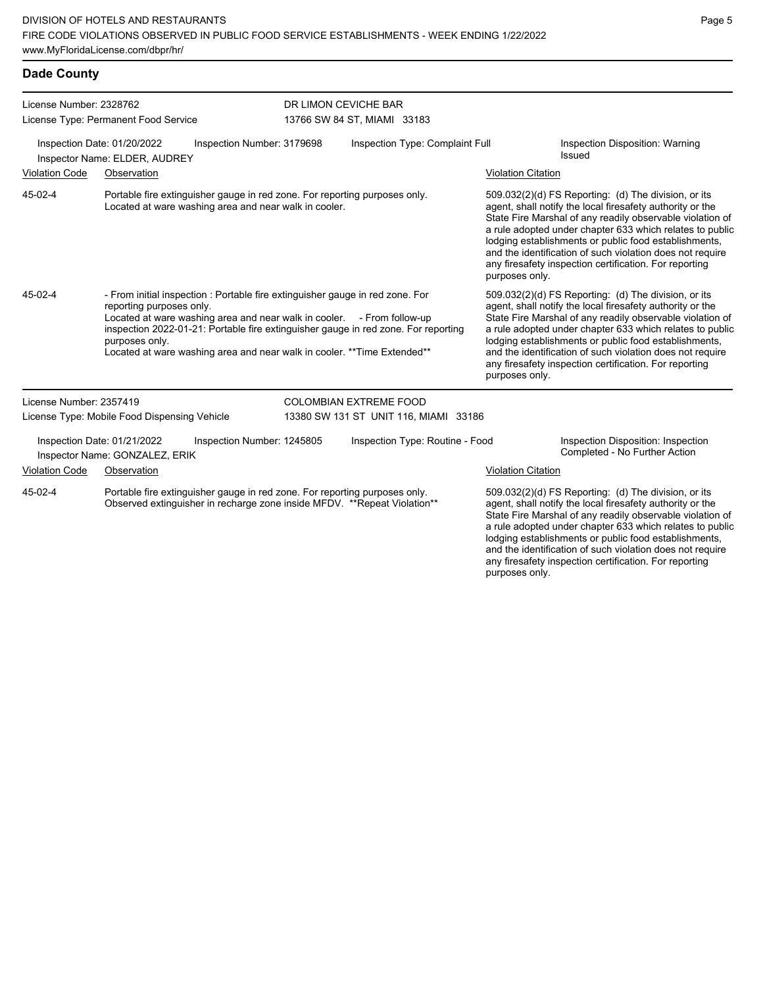and the identification of such violation does not require any firesafety inspection certification. For reporting

| <b>Dade County</b>                                           |                                                                                                                                                        |                            |                                                                                                                                                                                                                                                                                                                           |                           |                                                                                                                                                                                                                                                                                                                                                                                                                                              |  |  |
|--------------------------------------------------------------|--------------------------------------------------------------------------------------------------------------------------------------------------------|----------------------------|---------------------------------------------------------------------------------------------------------------------------------------------------------------------------------------------------------------------------------------------------------------------------------------------------------------------------|---------------------------|----------------------------------------------------------------------------------------------------------------------------------------------------------------------------------------------------------------------------------------------------------------------------------------------------------------------------------------------------------------------------------------------------------------------------------------------|--|--|
| License Number: 2328762                                      |                                                                                                                                                        |                            | DR LIMON CEVICHE BAR                                                                                                                                                                                                                                                                                                      |                           |                                                                                                                                                                                                                                                                                                                                                                                                                                              |  |  |
|                                                              | License Type: Permanent Food Service                                                                                                                   |                            | 13766 SW 84 ST, MIAMI 33183                                                                                                                                                                                                                                                                                               |                           |                                                                                                                                                                                                                                                                                                                                                                                                                                              |  |  |
| Inspection Date: 01/20/2022<br>Inspector Name: ELDER, AUDREY |                                                                                                                                                        | Inspection Number: 3179698 | Inspection Type: Complaint Full                                                                                                                                                                                                                                                                                           |                           | Inspection Disposition: Warning<br>Issued                                                                                                                                                                                                                                                                                                                                                                                                    |  |  |
| <b>Violation Code</b>                                        | Observation                                                                                                                                            |                            |                                                                                                                                                                                                                                                                                                                           | <b>Violation Citation</b> |                                                                                                                                                                                                                                                                                                                                                                                                                                              |  |  |
| 45-02-4                                                      | Portable fire extinguisher gauge in red zone. For reporting purposes only.<br>Located at ware washing area and near walk in cooler.                    |                            |                                                                                                                                                                                                                                                                                                                           |                           | 509.032(2)(d) FS Reporting: (d) The division, or its<br>agent, shall notify the local firesafety authority or the<br>State Fire Marshal of any readily observable violation of<br>a rule adopted under chapter 633 which relates to public<br>lodging establishments or public food establishments,<br>and the identification of such violation does not require<br>any firesafety inspection certification. For reporting<br>purposes only. |  |  |
| 45-02-4                                                      | reporting purposes only.<br>purposes only.                                                                                                             |                            | - From initial inspection : Portable fire extinguisher gauge in red zone. For<br>Located at ware washing area and near walk in cooler. - From follow-up<br>inspection 2022-01-21: Portable fire extinguisher gauge in red zone. For reporting<br>Located at ware washing area and near walk in cooler. ** Time Extended** |                           | 509.032(2)(d) FS Reporting: (d) The division, or its<br>agent, shall notify the local firesafety authority or the<br>State Fire Marshal of any readily observable violation of<br>a rule adopted under chapter 633 which relates to public<br>lodging establishments or public food establishments,<br>and the identification of such violation does not require<br>any firesafety inspection certification. For reporting<br>purposes only. |  |  |
| License Number: 2357419                                      |                                                                                                                                                        |                            | <b>COLOMBIAN EXTREME FOOD</b>                                                                                                                                                                                                                                                                                             |                           |                                                                                                                                                                                                                                                                                                                                                                                                                                              |  |  |
|                                                              | License Type: Mobile Food Dispensing Vehicle                                                                                                           |                            | 13380 SW 131 ST UNIT 116, MIAMI 33186                                                                                                                                                                                                                                                                                     |                           |                                                                                                                                                                                                                                                                                                                                                                                                                                              |  |  |
|                                                              | Inspection Date: 01/21/2022<br>Inspector Name: GONZALEZ, ERIK                                                                                          | Inspection Number: 1245805 | Inspection Type: Routine - Food                                                                                                                                                                                                                                                                                           |                           | Inspection Disposition: Inspection<br>Completed - No Further Action                                                                                                                                                                                                                                                                                                                                                                          |  |  |
| <b>Violation Code</b>                                        | Observation                                                                                                                                            |                            |                                                                                                                                                                                                                                                                                                                           | <b>Violation Citation</b> |                                                                                                                                                                                                                                                                                                                                                                                                                                              |  |  |
| 45-02-4                                                      | Portable fire extinguisher gauge in red zone. For reporting purposes only.<br>Observed extinguisher in recharge zone inside MFDV. **Repeat Violation** |                            |                                                                                                                                                                                                                                                                                                                           |                           | 509.032(2)(d) FS Reporting: (d) The division, or its<br>agent, shall notify the local firesafety authority or the<br>State Fire Marshal of any readily observable violation of<br>a rule adopted under chapter 633 which relates to public<br>lodging establishments or public food establishments,                                                                                                                                          |  |  |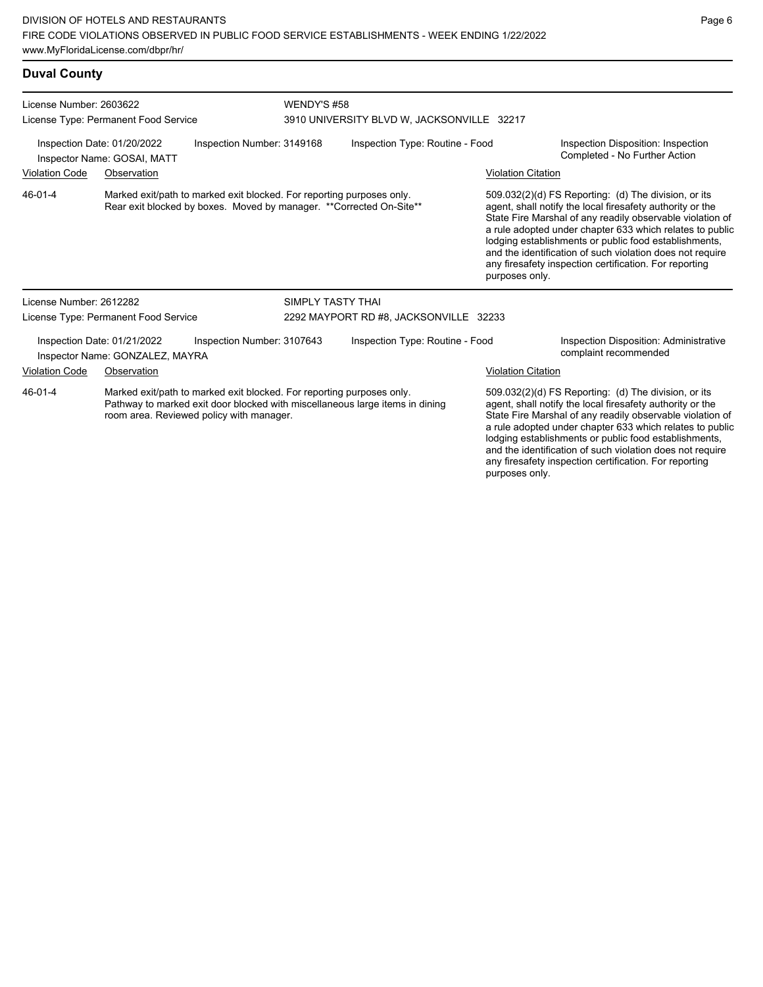#### **Duval County**

| License Number: 2603622                                                                  |                                                                |                                                                                                                                              | WENDY'S #58                     |                                                                              |                                                                     |                                                                                                                                                                                                                                                                                                                                                                                                                            |  |  |
|------------------------------------------------------------------------------------------|----------------------------------------------------------------|----------------------------------------------------------------------------------------------------------------------------------------------|---------------------------------|------------------------------------------------------------------------------|---------------------------------------------------------------------|----------------------------------------------------------------------------------------------------------------------------------------------------------------------------------------------------------------------------------------------------------------------------------------------------------------------------------------------------------------------------------------------------------------------------|--|--|
|                                                                                          | License Type: Permanent Food Service                           |                                                                                                                                              |                                 | 3910 UNIVERSITY BLVD W, JACKSONVILLE 32217                                   |                                                                     |                                                                                                                                                                                                                                                                                                                                                                                                                            |  |  |
| Inspection Date: 01/20/2022<br>Inspection Number: 3149168<br>Inspector Name: GOSAI, MATT |                                                                |                                                                                                                                              | Inspection Type: Routine - Food |                                                                              | Inspection Disposition: Inspection<br>Completed - No Further Action |                                                                                                                                                                                                                                                                                                                                                                                                                            |  |  |
| <b>Violation Code</b>                                                                    | Observation                                                    |                                                                                                                                              |                                 |                                                                              | <b>Violation Citation</b>                                           |                                                                                                                                                                                                                                                                                                                                                                                                                            |  |  |
| 46-01-4                                                                                  |                                                                | Marked exit/path to marked exit blocked. For reporting purposes only.<br>Rear exit blocked by boxes. Moved by manager. **Corrected On-Site** |                                 |                                                                              | purposes only.                                                      | 509.032(2)(d) FS Reporting: (d) The division, or its<br>agent, shall notify the local firesafety authority or the<br>State Fire Marshal of any readily observable violation of<br>a rule adopted under chapter 633 which relates to public<br>lodging establishments or public food establishments,<br>and the identification of such violation does not require<br>any firesafety inspection certification. For reporting |  |  |
| License Number: 2612282                                                                  |                                                                |                                                                                                                                              | SIMPLY TASTY THAI               |                                                                              |                                                                     |                                                                                                                                                                                                                                                                                                                                                                                                                            |  |  |
|                                                                                          | License Type: Permanent Food Service                           |                                                                                                                                              |                                 | 2292 MAYPORT RD #8, JACKSONVILLE 32233                                       |                                                                     |                                                                                                                                                                                                                                                                                                                                                                                                                            |  |  |
|                                                                                          | Inspection Date: 01/21/2022<br>Inspector Name: GONZALEZ, MAYRA | Inspection Number: 3107643                                                                                                                   |                                 | Inspection Type: Routine - Food                                              |                                                                     | <b>Inspection Disposition: Administrative</b><br>complaint recommended                                                                                                                                                                                                                                                                                                                                                     |  |  |
| Violation Code                                                                           | Observation                                                    |                                                                                                                                              |                                 |                                                                              | <b>Violation Citation</b>                                           |                                                                                                                                                                                                                                                                                                                                                                                                                            |  |  |
| 46-01-4                                                                                  |                                                                | Marked exit/path to marked exit blocked. For reporting purposes only.<br>room area. Reviewed policy with manager.                            |                                 | Pathway to marked exit door blocked with miscellaneous large items in dining | purposes only.                                                      | 509.032(2)(d) FS Reporting: (d) The division, or its<br>agent, shall notify the local firesafety authority or the<br>State Fire Marshal of any readily observable violation of<br>a rule adopted under chapter 633 which relates to public<br>lodging establishments or public food establishments,<br>and the identification of such violation does not require<br>any firesafety inspection certification. For reporting |  |  |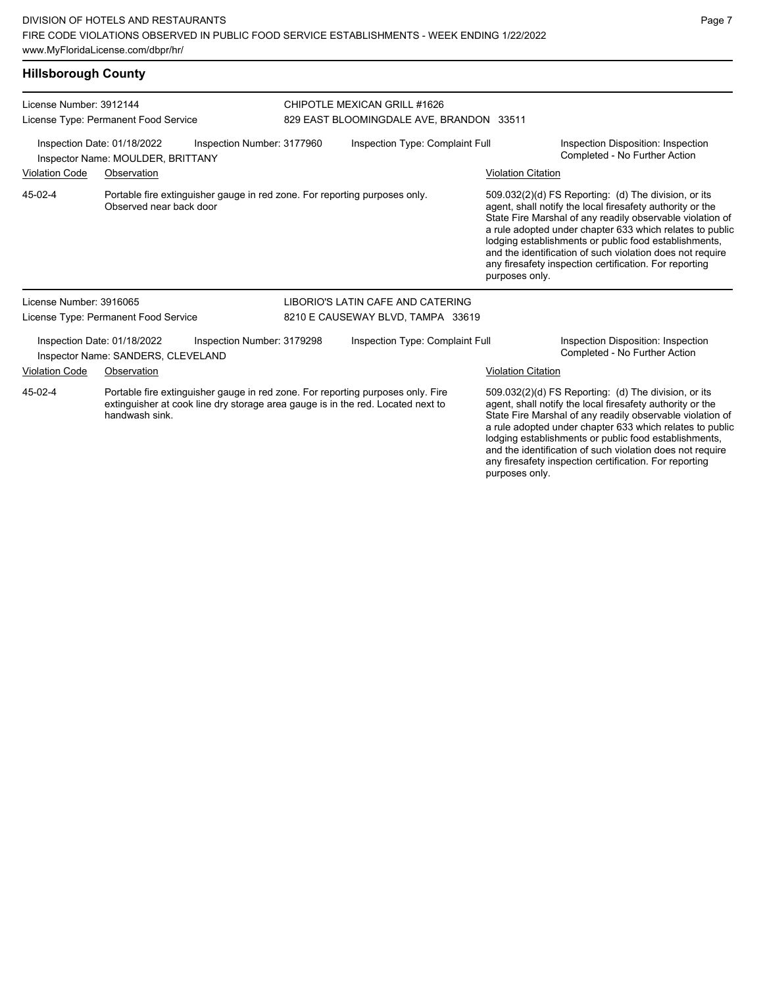#### **Hillsborough County**

| License Number: 3912144                                                                        | License Type: Permanent Food Service                              |                                                                                                                                                                    | CHIPOTLE MEXICAN GRILL #1626<br>829 EAST BLOOMINGDALE AVE, BRANDON 33511 |                                   |                                                                     |                                                                                                                                                                                                                                                                                                                                                                                                                            |  |
|------------------------------------------------------------------------------------------------|-------------------------------------------------------------------|--------------------------------------------------------------------------------------------------------------------------------------------------------------------|--------------------------------------------------------------------------|-----------------------------------|---------------------------------------------------------------------|----------------------------------------------------------------------------------------------------------------------------------------------------------------------------------------------------------------------------------------------------------------------------------------------------------------------------------------------------------------------------------------------------------------------------|--|
| Inspection Date: 01/18/2022<br>Inspection Number: 3177960<br>Inspector Name: MOULDER, BRITTANY |                                                                   |                                                                                                                                                                    | Inspection Type: Complaint Full                                          |                                   | Inspection Disposition: Inspection<br>Completed - No Further Action |                                                                                                                                                                                                                                                                                                                                                                                                                            |  |
| <b>Violation Code</b>                                                                          | Observation                                                       |                                                                                                                                                                    |                                                                          |                                   | <b>Violation Citation</b>                                           |                                                                                                                                                                                                                                                                                                                                                                                                                            |  |
| 45-02-4                                                                                        | Observed near back door                                           | Portable fire extinguisher gauge in red zone. For reporting purposes only.                                                                                         |                                                                          |                                   | purposes only.                                                      | 509.032(2)(d) FS Reporting: (d) The division, or its<br>agent, shall notify the local firesafety authority or the<br>State Fire Marshal of any readily observable violation of<br>a rule adopted under chapter 633 which relates to public<br>lodging establishments or public food establishments,<br>and the identification of such violation does not require<br>any firesafety inspection certification. For reporting |  |
| License Number: 3916065                                                                        |                                                                   |                                                                                                                                                                    |                                                                          | LIBORIO'S LATIN CAFE AND CATERING |                                                                     |                                                                                                                                                                                                                                                                                                                                                                                                                            |  |
|                                                                                                | License Type: Permanent Food Service                              |                                                                                                                                                                    |                                                                          | 8210 E CAUSEWAY BLVD, TAMPA 33619 |                                                                     |                                                                                                                                                                                                                                                                                                                                                                                                                            |  |
|                                                                                                | Inspection Date: 01/18/2022<br>Inspector Name: SANDERS, CLEVELAND | Inspection Number: 3179298                                                                                                                                         |                                                                          | Inspection Type: Complaint Full   |                                                                     | Inspection Disposition: Inspection<br>Completed - No Further Action                                                                                                                                                                                                                                                                                                                                                        |  |
| <b>Violation Code</b>                                                                          | Observation                                                       |                                                                                                                                                                    |                                                                          |                                   | <b>Violation Citation</b>                                           |                                                                                                                                                                                                                                                                                                                                                                                                                            |  |
| 45-02-4                                                                                        | handwash sink.                                                    | Portable fire extinguisher gauge in red zone. For reporting purposes only. Fire<br>extinguisher at cook line dry storage area gauge is in the red. Located next to |                                                                          |                                   |                                                                     | 509.032(2)(d) FS Reporting: (d) The division, or its<br>agent, shall notify the local firesafety authority or the<br>State Fire Marshal of any readily observable violation of<br>a rule adopted under chapter 633 which relates to public<br>lodging establishments or public food establishments,<br>and the identification of such violation does not require                                                           |  |

any firesafety inspection certification. For reporting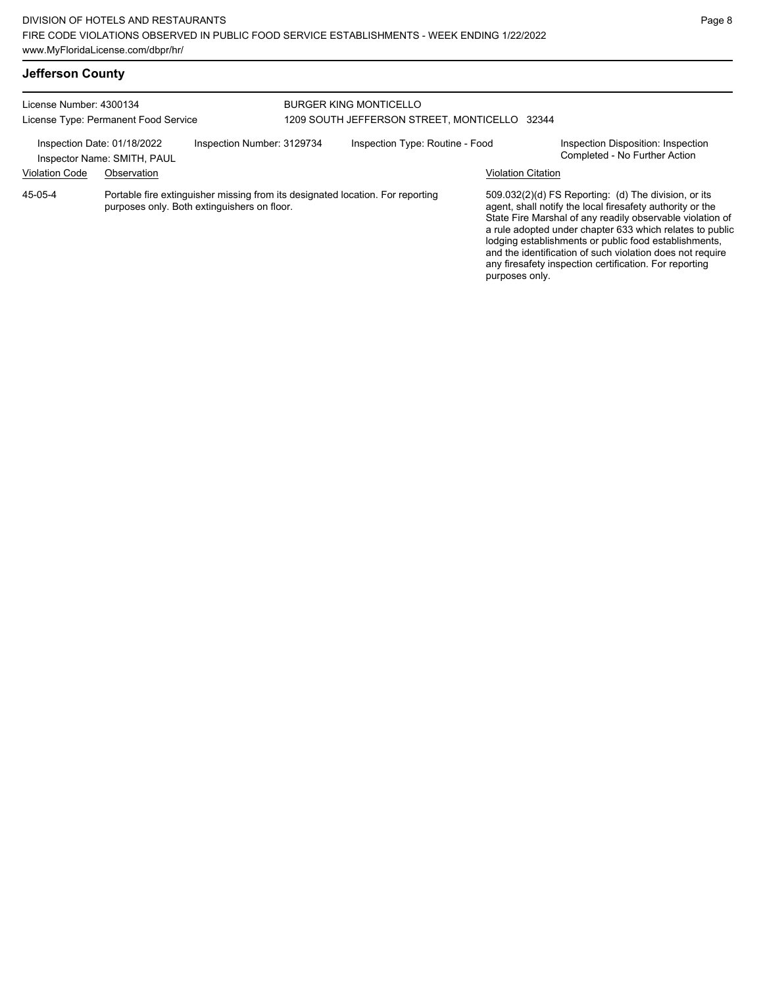| License Number: 4300134<br>License Type: Permanent Food Service |                                                            |                                                                                                                               | <b>BURGER KING MONTICELLO</b><br>1209 SOUTH JEFFERSON STREET, MONTICELLO 32344 |                                 |                           |                                                                                                                                                                                                                                                                                                                                                                                                                              |
|-----------------------------------------------------------------|------------------------------------------------------------|-------------------------------------------------------------------------------------------------------------------------------|--------------------------------------------------------------------------------|---------------------------------|---------------------------|------------------------------------------------------------------------------------------------------------------------------------------------------------------------------------------------------------------------------------------------------------------------------------------------------------------------------------------------------------------------------------------------------------------------------|
|                                                                 | Inspection Date: 01/18/2022<br>Inspector Name: SMITH, PAUL | Inspection Number: 3129734                                                                                                    |                                                                                | Inspection Type: Routine - Food |                           | Inspection Disposition: Inspection<br>Completed - No Further Action                                                                                                                                                                                                                                                                                                                                                          |
| <b>Violation Code</b>                                           | Observation                                                |                                                                                                                               |                                                                                |                                 | <b>Violation Citation</b> |                                                                                                                                                                                                                                                                                                                                                                                                                              |
| 45-05-4                                                         |                                                            | Portable fire extinguisher missing from its designated location. For reporting<br>purposes only. Both extinguishers on floor. |                                                                                |                                 | purposes only.            | $509.032(2)(d)$ FS Reporting: (d) The division, or its<br>agent, shall notify the local firesafety authority or the<br>State Fire Marshal of any readily observable violation of<br>a rule adopted under chapter 633 which relates to public<br>lodging establishments or public food establishments,<br>and the identification of such violation does not require<br>any firesafety inspection certification. For reporting |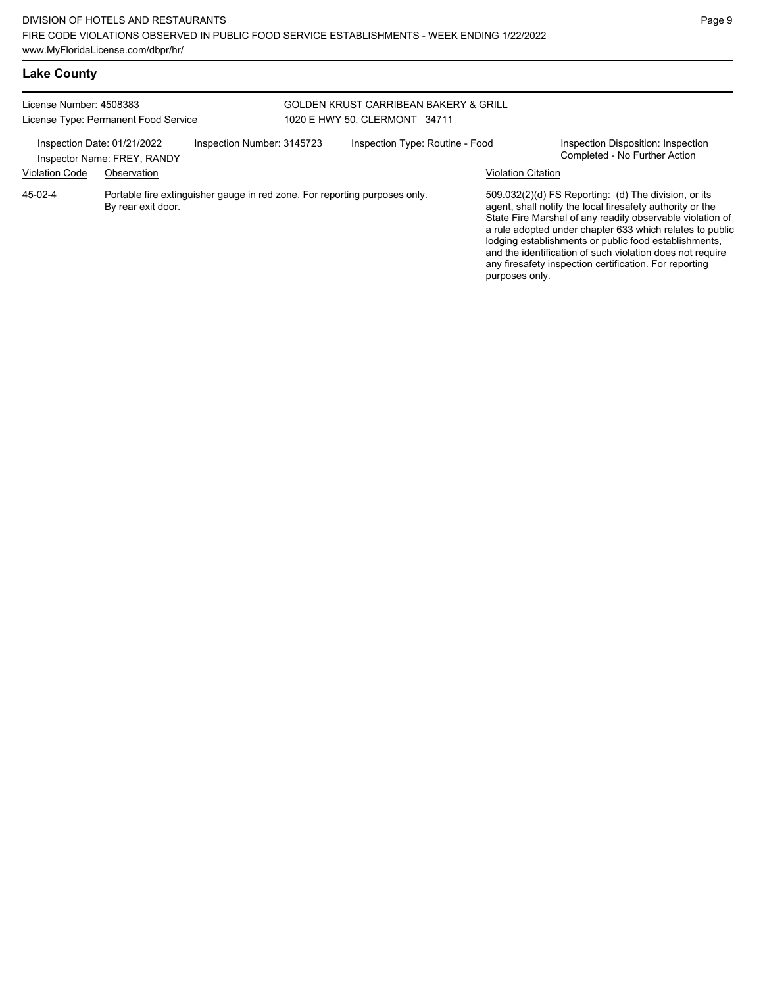| <b>Lake County</b>      |                                                            |                                                                            |                                                                                   |                           |                                                                                                                                                                                                                                                                                                                                                                                                                            |
|-------------------------|------------------------------------------------------------|----------------------------------------------------------------------------|-----------------------------------------------------------------------------------|---------------------------|----------------------------------------------------------------------------------------------------------------------------------------------------------------------------------------------------------------------------------------------------------------------------------------------------------------------------------------------------------------------------------------------------------------------------|
| License Number: 4508383 | License Type: Permanent Food Service                       |                                                                            | <b>GOLDEN KRUST CARRIBEAN BAKERY &amp; GRILL</b><br>1020 E HWY 50, CLERMONT 34711 |                           |                                                                                                                                                                                                                                                                                                                                                                                                                            |
|                         | Inspection Date: 01/21/2022<br>Inspector Name: FREY, RANDY | Inspection Number: 3145723                                                 | Inspection Type: Routine - Food                                                   |                           | Inspection Disposition: Inspection<br>Completed - No Further Action                                                                                                                                                                                                                                                                                                                                                        |
| <b>Violation Code</b>   | Observation                                                |                                                                            |                                                                                   | <b>Violation Citation</b> |                                                                                                                                                                                                                                                                                                                                                                                                                            |
| $45-02-4$               | By rear exit door.                                         | Portable fire extinguisher gauge in red zone. For reporting purposes only. |                                                                                   | purposes only.            | 509.032(2)(d) FS Reporting: (d) The division, or its<br>agent, shall notify the local firesafety authority or the<br>State Fire Marshal of any readily observable violation of<br>a rule adopted under chapter 633 which relates to public<br>lodging establishments or public food establishments,<br>and the identification of such violation does not require<br>any firesafety inspection certification. For reporting |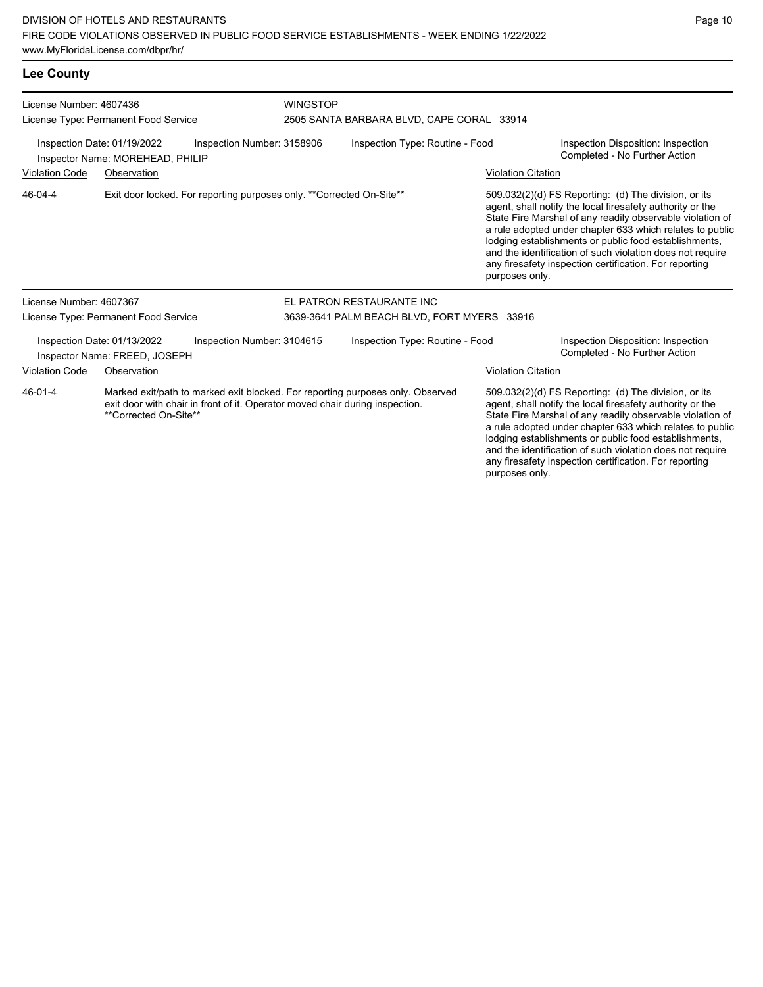#### **Lee County**

| License Number: 4607436                                                                       |                                                              |                                                                              | <b>WINGSTOP</b> |                                                                                                                                                                                                                                                                                                                                                                                                                                              |                           |                                                                                                                                                                                                                                                                                                                                                                                                                            |  |  |
|-----------------------------------------------------------------------------------------------|--------------------------------------------------------------|------------------------------------------------------------------------------|-----------------|----------------------------------------------------------------------------------------------------------------------------------------------------------------------------------------------------------------------------------------------------------------------------------------------------------------------------------------------------------------------------------------------------------------------------------------------|---------------------------|----------------------------------------------------------------------------------------------------------------------------------------------------------------------------------------------------------------------------------------------------------------------------------------------------------------------------------------------------------------------------------------------------------------------------|--|--|
|                                                                                               | License Type: Permanent Food Service                         |                                                                              |                 | 2505 SANTA BARBARA BLVD, CAPE CORAL 33914                                                                                                                                                                                                                                                                                                                                                                                                    |                           |                                                                                                                                                                                                                                                                                                                                                                                                                            |  |  |
| Inspection Date: 01/19/2022<br>Inspection Number: 3158906<br>Inspector Name: MOREHEAD, PHILIP |                                                              |                                                                              |                 | Inspection Type: Routine - Food                                                                                                                                                                                                                                                                                                                                                                                                              |                           | Inspection Disposition: Inspection<br>Completed - No Further Action                                                                                                                                                                                                                                                                                                                                                        |  |  |
| <b>Violation Code</b>                                                                         | Observation                                                  |                                                                              |                 |                                                                                                                                                                                                                                                                                                                                                                                                                                              | <b>Violation Citation</b> |                                                                                                                                                                                                                                                                                                                                                                                                                            |  |  |
| Exit door locked. For reporting purposes only. **Corrected On-Site**<br>46-04-4               |                                                              |                                                                              |                 | 509.032(2)(d) FS Reporting: (d) The division, or its<br>agent, shall notify the local firesafety authority or the<br>State Fire Marshal of any readily observable violation of<br>a rule adopted under chapter 633 which relates to public<br>lodging establishments or public food establishments,<br>and the identification of such violation does not require<br>any firesafety inspection certification. For reporting<br>purposes only. |                           |                                                                                                                                                                                                                                                                                                                                                                                                                            |  |  |
| License Number: 4607367                                                                       |                                                              |                                                                              |                 | EL PATRON RESTAURANTE INC                                                                                                                                                                                                                                                                                                                                                                                                                    |                           |                                                                                                                                                                                                                                                                                                                                                                                                                            |  |  |
|                                                                                               | License Type: Permanent Food Service                         |                                                                              |                 | 3639-3641 PALM BEACH BLVD, FORT MYERS 33916                                                                                                                                                                                                                                                                                                                                                                                                  |                           |                                                                                                                                                                                                                                                                                                                                                                                                                            |  |  |
|                                                                                               | Inspection Date: 01/13/2022<br>Inspector Name: FREED, JOSEPH | Inspection Number: 3104615                                                   |                 | Inspection Type: Routine - Food                                                                                                                                                                                                                                                                                                                                                                                                              |                           | Inspection Disposition: Inspection<br>Completed - No Further Action                                                                                                                                                                                                                                                                                                                                                        |  |  |
| <b>Violation Code</b>                                                                         | Observation                                                  |                                                                              |                 |                                                                                                                                                                                                                                                                                                                                                                                                                                              | <b>Violation Citation</b> |                                                                                                                                                                                                                                                                                                                                                                                                                            |  |  |
| 46-01-4                                                                                       | **Corrected On-Site**                                        | exit door with chair in front of it. Operator moved chair during inspection. |                 | Marked exit/path to marked exit blocked. For reporting purposes only. Observed                                                                                                                                                                                                                                                                                                                                                               |                           | 509.032(2)(d) FS Reporting: (d) The division, or its<br>agent, shall notify the local firesafety authority or the<br>State Fire Marshal of any readily observable violation of<br>a rule adopted under chapter 633 which relates to public<br>lodging establishments or public food establishments,<br>and the identification of such violation does not require<br>any firesafety inspection certification. For reporting |  |  |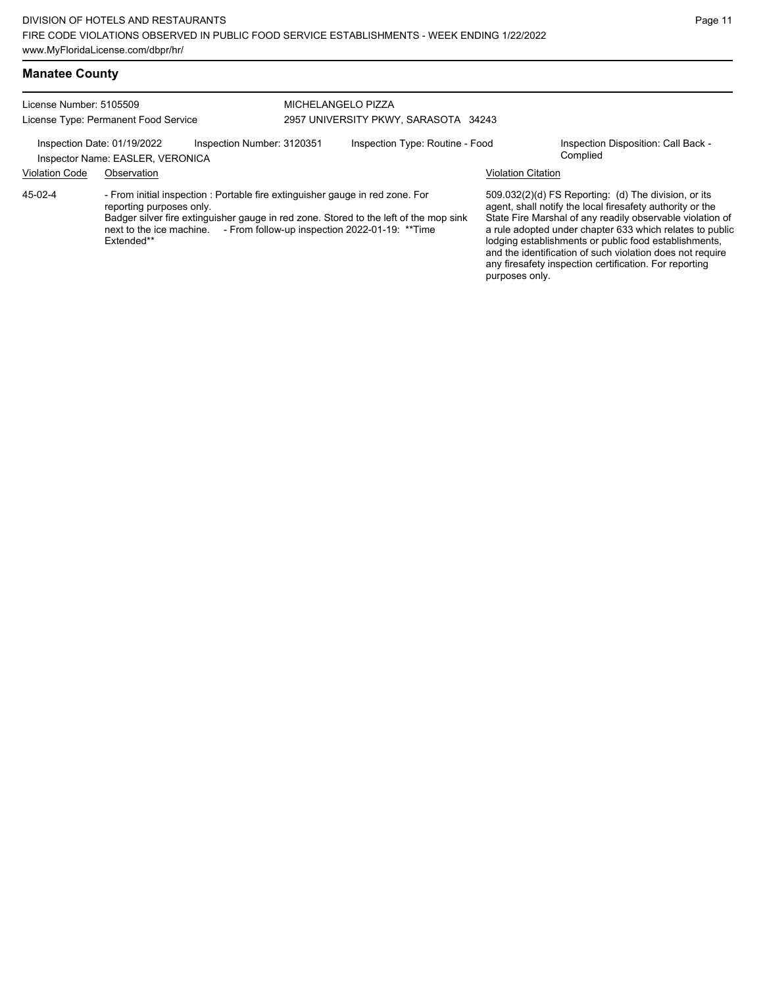| <b>Manatee County</b>                |                            |                                      |  |
|--------------------------------------|----------------------------|--------------------------------------|--|
| License Number: 5105509              |                            | MICHELANGELO PIZZA                   |  |
| License Type: Permanent Food Service |                            | 2957 UNIVERSITY PKWY, SARASOTA 34243 |  |
| Inspection Date: 01/19/2022          | Inspection Number: 3120351 | Inspection Type: Routine - Food      |  |
| Inspector Name: EASLER, VERONICA     |                            |                                      |  |

Inspection Disposition: Call Back - Complied

## Violation Code Observation Violation Citation

- From initial inspection : Portable fire extinguisher gauge in red zone. For reporting purposes only. Badger silver fire extinguisher gauge in red zone. Stored to the left of the mop sink next to the ice machine. - From follow-up inspection 2022-01-19: \*\*Time Extended\*\* 45-02-4

509.032(2)(d) FS Reporting: (d) The division, or its agent, shall notify the local firesafety authority or the State Fire Marshal of any readily observable violation of a rule adopted under chapter 633 which relates to public lodging establishments or public food establishments, and the identification of such violation does not require any firesafety inspection certification. For reporting purposes only.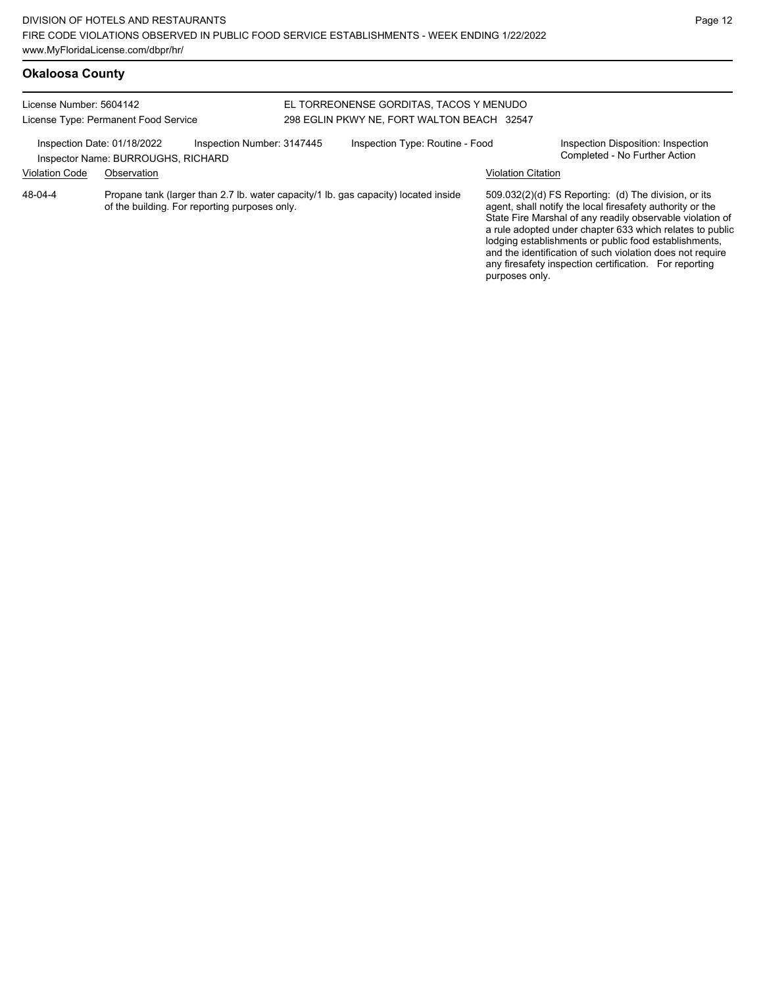# **Okaloosa County**

| License Number: 5604142<br>License Type: Permanent Food Service |                                    |                                               | EL TORREONENSE GORDITAS. TACOS Y MENUDO<br>298 EGLIN PKWY NE. FORT WALTON BEACH 32547 |                                                                                     |                           |                                                                                                                                                                                                                                                                                                                                                                                                                            |  |
|-----------------------------------------------------------------|------------------------------------|-----------------------------------------------|---------------------------------------------------------------------------------------|-------------------------------------------------------------------------------------|---------------------------|----------------------------------------------------------------------------------------------------------------------------------------------------------------------------------------------------------------------------------------------------------------------------------------------------------------------------------------------------------------------------------------------------------------------------|--|
| Inspection Date: 01/18/2022                                     | Inspector Name: BURROUGHS, RICHARD | Inspection Number: 3147445                    |                                                                                       | Inspection Type: Routine - Food                                                     |                           | Inspection Disposition: Inspection<br>Completed - No Further Action                                                                                                                                                                                                                                                                                                                                                        |  |
| <b>Violation Code</b>                                           | Observation                        |                                               |                                                                                       |                                                                                     | <b>Violation Citation</b> |                                                                                                                                                                                                                                                                                                                                                                                                                            |  |
| 48-04-4                                                         |                                    | of the building. For reporting purposes only. |                                                                                       | Propane tank (larger than 2.7 lb. water capacity/1 lb. gas capacity) located inside |                           | 509.032(2)(d) FS Reporting: (d) The division, or its<br>agent, shall notify the local firesafety authority or the<br>State Fire Marshal of any readily observable violation of<br>a rule adopted under chapter 633 which relates to public<br>lodging establishments or public food establishments,<br>and the identification of such violation does not require<br>any firesafety inspection certification. For reporting |  |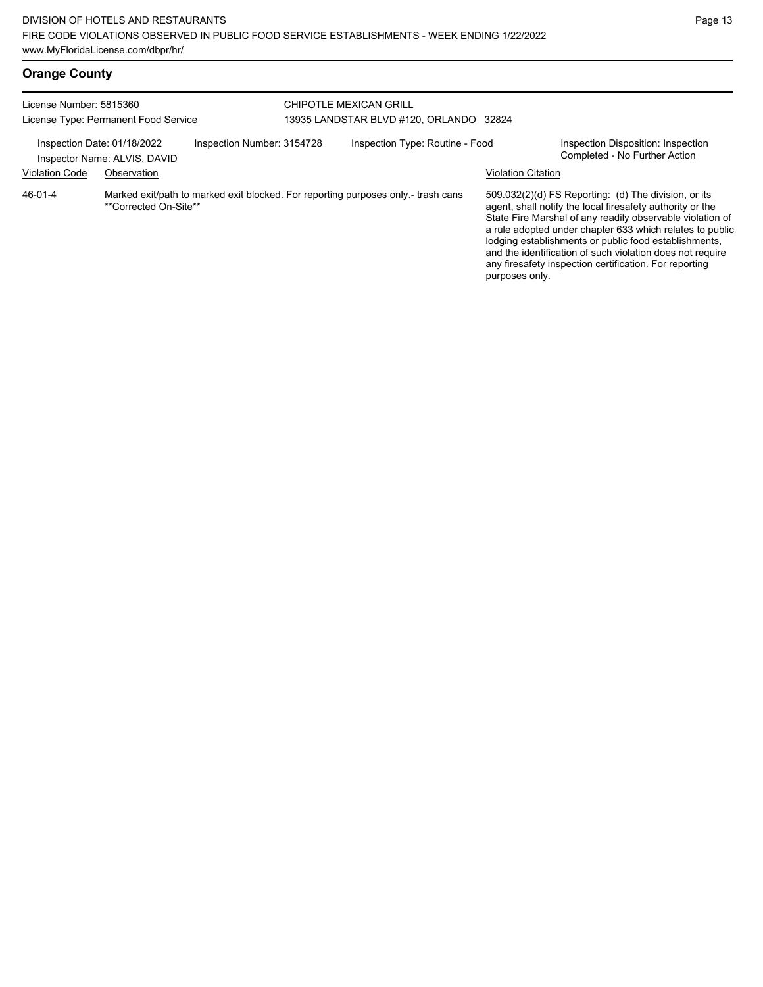# **Orange County**

| License Number: 5815360<br>License Type: Permanent Food Service |                                      |                            | CHIPOTLE MEXICAN GRILL<br>13935 LANDSTAR BLVD #120, ORLANDO 32824                 |                                             |                                                                                                                                                                                                                                                                                                                                                                                                                            |
|-----------------------------------------------------------------|--------------------------------------|----------------------------|-----------------------------------------------------------------------------------|---------------------------------------------|----------------------------------------------------------------------------------------------------------------------------------------------------------------------------------------------------------------------------------------------------------------------------------------------------------------------------------------------------------------------------------------------------------------------------|
| Inspection Date: 01/18/2022<br><b>Violation Code</b>            | Inspector Name: ALVIS, DAVID         | Inspection Number: 3154728 | Inspection Type: Routine - Food                                                   |                                             | Inspection Disposition: Inspection<br>Completed - No Further Action                                                                                                                                                                                                                                                                                                                                                        |
| 46-01-4                                                         | Observation<br>**Corrected On-Site** |                            | Marked exit/path to marked exit blocked. For reporting purposes only - trash cans | <b>Violation Citation</b><br>purposes only. | 509.032(2)(d) FS Reporting: (d) The division, or its<br>agent, shall notify the local firesafety authority or the<br>State Fire Marshal of any readily observable violation of<br>a rule adopted under chapter 633 which relates to public<br>lodging establishments or public food establishments,<br>and the identification of such violation does not require<br>any firesafety inspection certification. For reporting |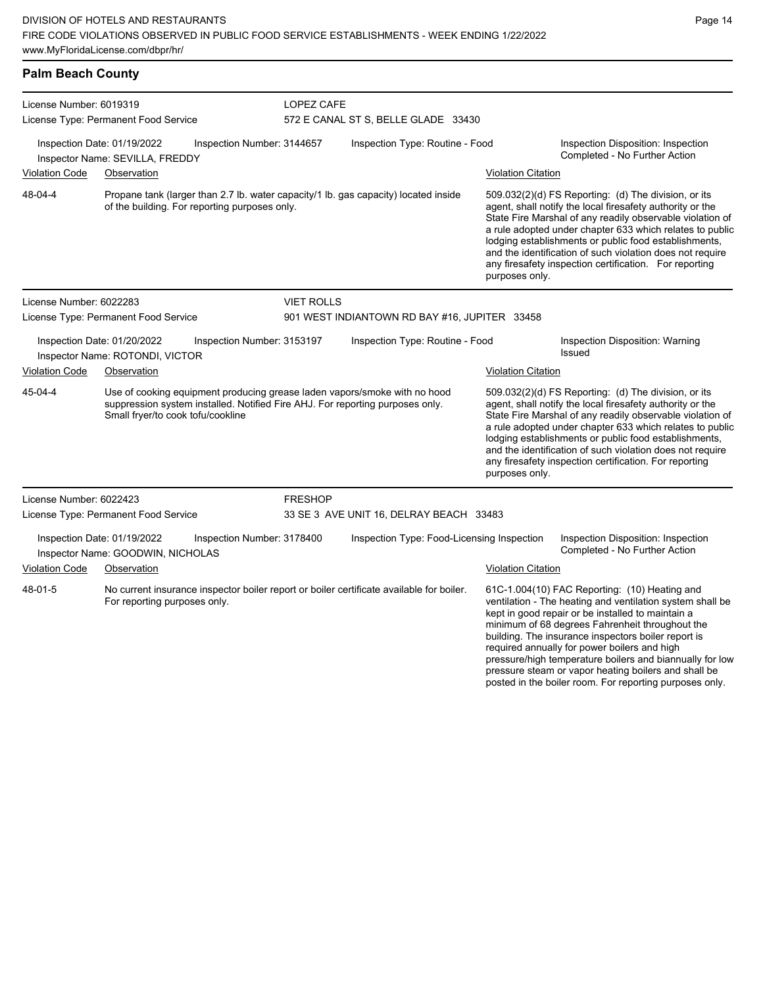| <b>Palm Beach County</b>                                                                       |                                                                                                                                      |                            |                                                                                                                                                            |                                                                                                                                                                                                                                                                                                                                                                                                                                              |                                                                                                                                                                                                                                                                                                                                                                                                                                              |  |  |
|------------------------------------------------------------------------------------------------|--------------------------------------------------------------------------------------------------------------------------------------|----------------------------|------------------------------------------------------------------------------------------------------------------------------------------------------------|----------------------------------------------------------------------------------------------------------------------------------------------------------------------------------------------------------------------------------------------------------------------------------------------------------------------------------------------------------------------------------------------------------------------------------------------|----------------------------------------------------------------------------------------------------------------------------------------------------------------------------------------------------------------------------------------------------------------------------------------------------------------------------------------------------------------------------------------------------------------------------------------------|--|--|
| License Number: 6019319<br>License Type: Permanent Food Service                                |                                                                                                                                      |                            | LOPEZ CAFE<br>572 E CANAL ST S, BELLE GLADE 33430                                                                                                          |                                                                                                                                                                                                                                                                                                                                                                                                                                              |                                                                                                                                                                                                                                                                                                                                                                                                                                              |  |  |
|                                                                                                | Inspection Date: 01/19/2022<br>Inspector Name: SEVILLA, FREDDY                                                                       | Inspection Number: 3144657 | Inspection Type: Routine - Food                                                                                                                            |                                                                                                                                                                                                                                                                                                                                                                                                                                              | Inspection Disposition: Inspection<br>Completed - No Further Action                                                                                                                                                                                                                                                                                                                                                                          |  |  |
| <b>Violation Code</b>                                                                          | Observation                                                                                                                          |                            |                                                                                                                                                            |                                                                                                                                                                                                                                                                                                                                                                                                                                              | <b>Violation Citation</b>                                                                                                                                                                                                                                                                                                                                                                                                                    |  |  |
| 48-04-4                                                                                        | Propane tank (larger than 2.7 lb. water capacity/1 lb. gas capacity) located inside<br>of the building. For reporting purposes only. |                            |                                                                                                                                                            | 509.032(2)(d) FS Reporting: (d) The division, or its<br>agent, shall notify the local firesafety authority or the<br>State Fire Marshal of any readily observable violation of<br>a rule adopted under chapter 633 which relates to public<br>lodging establishments or public food establishments,<br>and the identification of such violation does not require<br>any firesafety inspection certification. For reporting<br>purposes only. |                                                                                                                                                                                                                                                                                                                                                                                                                                              |  |  |
| License Number: 6022283                                                                        |                                                                                                                                      |                            | <b>VIET ROLLS</b>                                                                                                                                          |                                                                                                                                                                                                                                                                                                                                                                                                                                              |                                                                                                                                                                                                                                                                                                                                                                                                                                              |  |  |
| License Type: Permanent Food Service                                                           |                                                                                                                                      |                            | 901 WEST INDIANTOWN RD BAY #16, JUPITER 33458                                                                                                              |                                                                                                                                                                                                                                                                                                                                                                                                                                              |                                                                                                                                                                                                                                                                                                                                                                                                                                              |  |  |
|                                                                                                | Inspection Date: 01/20/2022<br>Inspection Number: 3153197<br>Inspector Name: ROTONDI, VICTOR                                         |                            | Inspection Type: Routine - Food                                                                                                                            |                                                                                                                                                                                                                                                                                                                                                                                                                                              | Inspection Disposition: Warning<br><b>Issued</b>                                                                                                                                                                                                                                                                                                                                                                                             |  |  |
| <b>Violation Code</b><br>Observation                                                           |                                                                                                                                      |                            | <b>Violation Citation</b>                                                                                                                                  |                                                                                                                                                                                                                                                                                                                                                                                                                                              |                                                                                                                                                                                                                                                                                                                                                                                                                                              |  |  |
| 45-04-4                                                                                        | Small fryer/to cook tofu/cookline                                                                                                    |                            | Use of cooking equipment producing grease laden vapors/smoke with no hood<br>suppression system installed. Notified Fire AHJ. For reporting purposes only. |                                                                                                                                                                                                                                                                                                                                                                                                                                              | 509.032(2)(d) FS Reporting: (d) The division, or its<br>agent, shall notify the local firesafety authority or the<br>State Fire Marshal of any readily observable violation of<br>a rule adopted under chapter 633 which relates to public<br>lodging establishments or public food establishments,<br>and the identification of such violation does not require<br>any firesafety inspection certification. For reporting<br>purposes only. |  |  |
| License Number: 6022423                                                                        |                                                                                                                                      | <b>FRESHOP</b>             |                                                                                                                                                            |                                                                                                                                                                                                                                                                                                                                                                                                                                              |                                                                                                                                                                                                                                                                                                                                                                                                                                              |  |  |
| License Type: Permanent Food Service                                                           |                                                                                                                                      |                            | 33 SE 3 AVE UNIT 16, DELRAY BEACH 33483                                                                                                                    |                                                                                                                                                                                                                                                                                                                                                                                                                                              |                                                                                                                                                                                                                                                                                                                                                                                                                                              |  |  |
| Inspection Date: 01/19/2022<br>Inspection Number: 3178400<br>Inspector Name: GOODWIN, NICHOLAS |                                                                                                                                      |                            | Inspection Type: Food-Licensing Inspection                                                                                                                 |                                                                                                                                                                                                                                                                                                                                                                                                                                              | Inspection Disposition: Inspection<br>Completed - No Further Action                                                                                                                                                                                                                                                                                                                                                                          |  |  |
| Violation Code<br>Observation                                                                  |                                                                                                                                      |                            |                                                                                                                                                            |                                                                                                                                                                                                                                                                                                                                                                                                                                              | <b>Violation Citation</b>                                                                                                                                                                                                                                                                                                                                                                                                                    |  |  |
| 48-01-5                                                                                        | For reporting purposes only.                                                                                                         |                            | No current insurance inspector boiler report or boiler certificate available for boiler.                                                                   |                                                                                                                                                                                                                                                                                                                                                                                                                                              | 61C-1.004(10) FAC Reporting: (10) Heating and<br>ventilation - The heating and ventilation system shall be<br>kept in good repair or be installed to maintain a<br>minimum of 68 degrees Fahrenheit throughout the                                                                                                                                                                                                                           |  |  |

building. The insurance inspectors boiler report is required annually for power boilers and high

pressure/high temperature boilers and biannually for low pressure steam or vapor heating boilers and shall be posted in the boiler room. For reporting purposes only.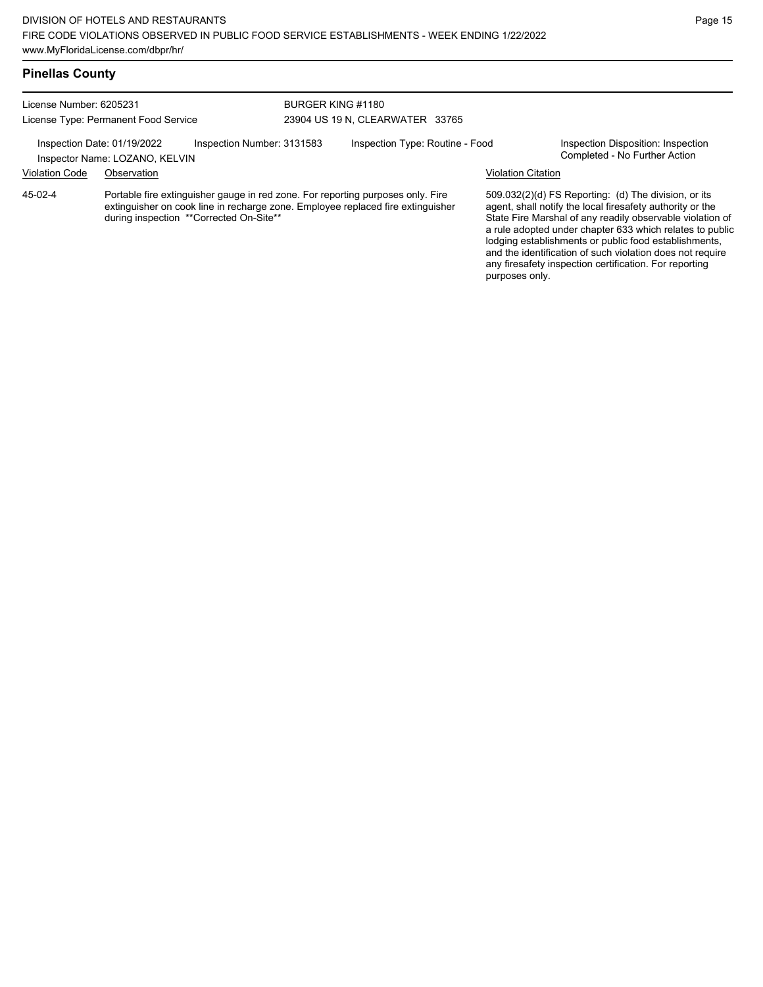| License Number: 6205231<br>License Type: Permanent Food Service |                                                                                                                                                                                                               | BURGER KING #1180<br>23904 US 19 N, CLEARWATER 33765 |  |  |                                                                                                                                                                                                                                                                                                                                                                  |  |
|-----------------------------------------------------------------|---------------------------------------------------------------------------------------------------------------------------------------------------------------------------------------------------------------|------------------------------------------------------|--|--|------------------------------------------------------------------------------------------------------------------------------------------------------------------------------------------------------------------------------------------------------------------------------------------------------------------------------------------------------------------|--|
|                                                                 |                                                                                                                                                                                                               |                                                      |  |  |                                                                                                                                                                                                                                                                                                                                                                  |  |
| <b>Violation Code</b>                                           | Observation                                                                                                                                                                                                   |                                                      |  |  | <b>Violation Citation</b>                                                                                                                                                                                                                                                                                                                                        |  |
| $45-02-4$                                                       | Portable fire extinguisher gauge in red zone. For reporting purposes only. Fire<br>extinguisher on cook line in recharge zone. Employee replaced fire extinguisher<br>during inspection **Corrected On-Site** |                                                      |  |  | 509.032(2)(d) FS Reporting: (d) The division, or its<br>agent, shall notify the local firesafety authority or the<br>State Fire Marshal of any readily observable violation of<br>a rule adopted under chapter 633 which relates to public<br>lodging establishments or public food establishments,<br>and the identification of such violation does not require |  |

any firesafety inspection certification. For reporting